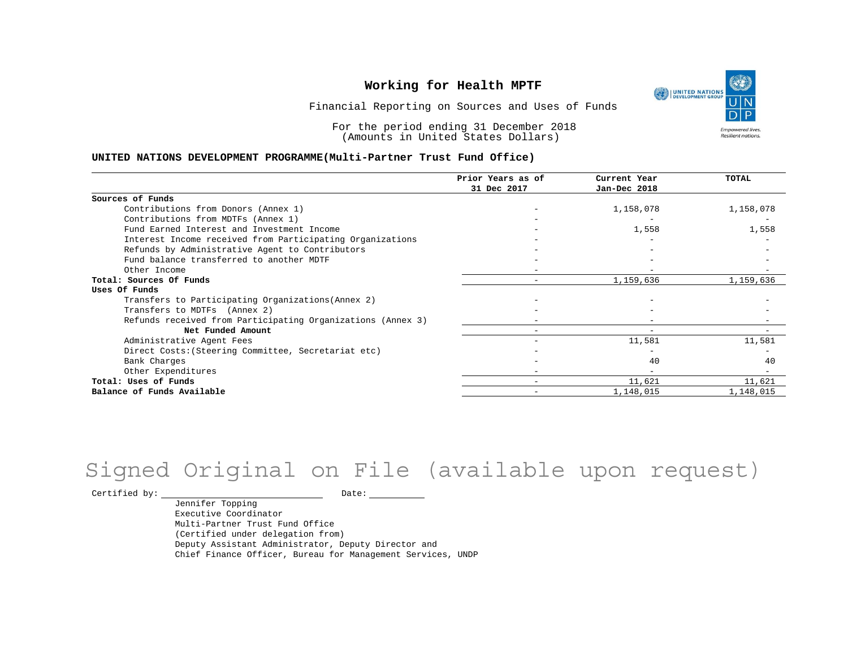UNITED NATIONS **Empowered lives** Resilient nations.

Financial Reporting on Sources and Uses of Funds

For the period ending 31 December 2018 (Amounts in United States Dollars)

#### **UNITED NATIONS DEVELOPMENT PROGRAMME(Multi-Partner Trust Fund Office)**

|                                                             | Prior Years as of | Current Year | <b>TOTAL</b> |
|-------------------------------------------------------------|-------------------|--------------|--------------|
|                                                             | 31 Dec 2017       | Jan-Dec 2018 |              |
| Sources of Funds                                            |                   |              |              |
| Contributions from Donors (Annex 1)                         |                   | 1,158,078    | 1,158,078    |
| Contributions from MDTFs (Annex 1)                          |                   |              |              |
| Fund Earned Interest and Investment Income                  |                   | 1,558        | 1,558        |
| Interest Income received from Participating Organizations   |                   |              |              |
| Refunds by Administrative Agent to Contributors             |                   |              |              |
| Fund balance transferred to another MDTF                    |                   |              |              |
| Other Income                                                |                   |              |              |
| Total: Sources Of Funds                                     |                   | 1,159,636    | 1,159,636    |
| Uses Of Funds                                               |                   |              |              |
| Transfers to Participating Organizations (Annex 2)          |                   |              |              |
| Transfers to MDTFs (Annex 2)                                |                   |              |              |
| Refunds received from Participating Organizations (Annex 3) |                   | -            |              |
| Net Funded Amount                                           |                   | $-$          |              |
| Administrative Agent Fees                                   |                   | 11,581       | 11,581       |
| Direct Costs: (Steering Committee, Secretariat etc)         |                   |              |              |
| Bank Charges                                                |                   | 40           | 40           |
| Other Expenditures                                          |                   | $-$          |              |
| Total: Uses of Funds                                        |                   | 11,621       | 11,621       |
| Balance of Funds Available                                  |                   | 1,148,015    | 1,148,015    |

# Signed Original on File (available upon request)

 $\begin{tabular}{cc} \multicolumn{2}{c}{{\texttt{Certified by:}}}} \quad \quad \texttt{Date:} \end{tabular}$ 

Jennifer Topping Executive Coordinator Multi-Partner Trust Fund Office (Certified under delegation from) Deputy Assistant Administrator, Deputy Director and Chief Finance Officer, Bureau for Management Services, UNDP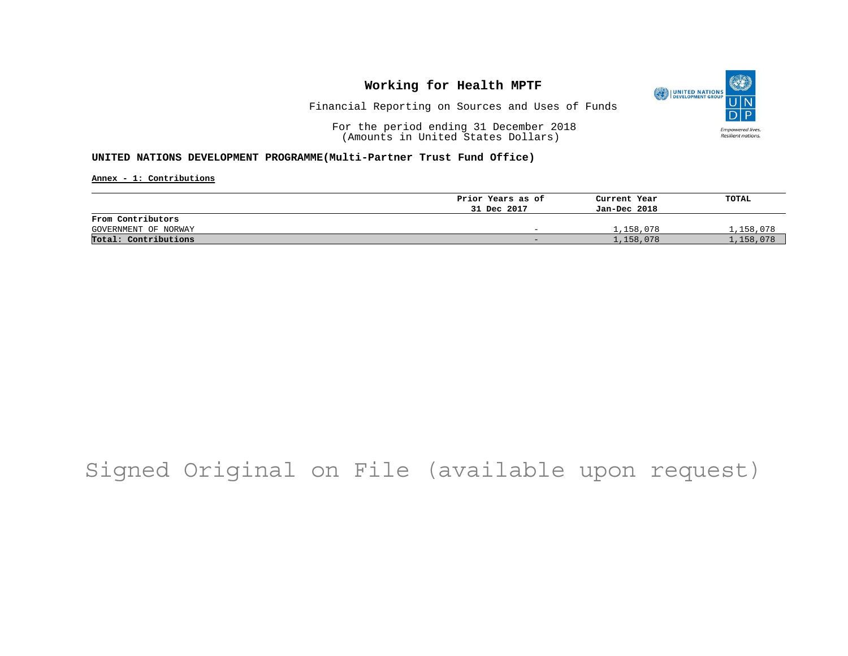

Financial Reporting on Sources and Uses of Funds

For the period ending 31 December 2018 (Amounts in United States Dollars)

#### **UNITED NATIONS DEVELOPMENT PROGRAMME(Multi-Partner Trust Fund Office)**

**Annex - 1: Contributions**

|                      | Prior Years as of        | Current Year | TOTAL     |
|----------------------|--------------------------|--------------|-----------|
|                      | 31 Dec 2017              | Jan-Dec 2018 |           |
| From Contributors    |                          |              |           |
| GOVERNMENT OF NORWAY | $\overline{\phantom{0}}$ | 1,158,078    | 1,158,078 |
| Total: Contributions | $\overline{\phantom{0}}$ | 1,158,078    | 1,158,078 |

# Signed Original on File (available upon request)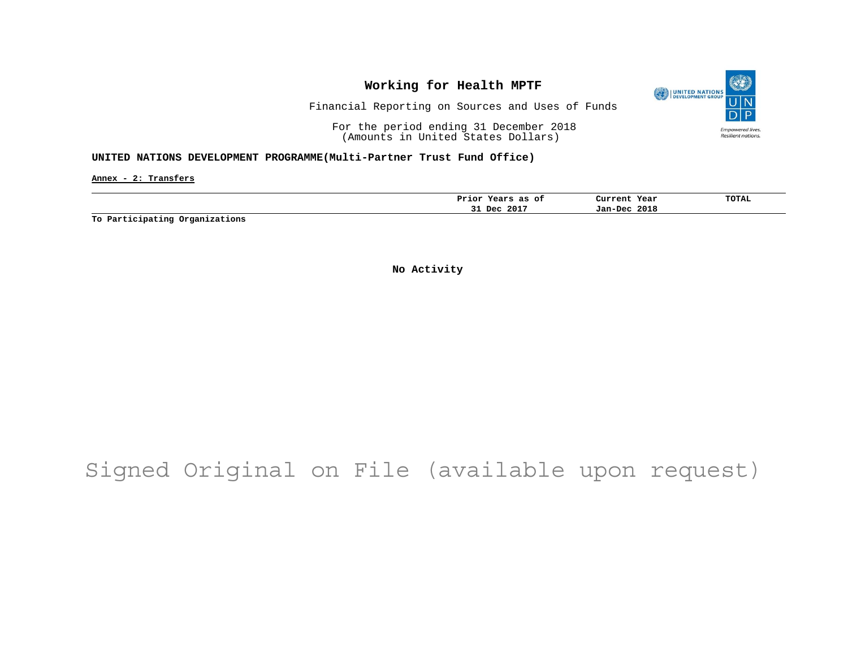

Financial Reporting on Sources and Uses of Funds

For the period ending 31 December 2018 (Amounts in United States Dollars)

#### **UNITED NATIONS DEVELOPMENT PROGRAMME(Multi-Partner Trust Fund Office)**

**Annex - 2: Transfers**

| Prior<br>оt<br>as<br>$-$<br>еать | Current<br>Year | TOTAL |
|----------------------------------|-----------------|-------|
| 2017<br>Dec<br><u>JI</u>         | 2018<br>Jan-Dec |       |
|                                  |                 |       |

**To Participating Organizations**

**No Activity**

# Signed Original on File (available upon request)